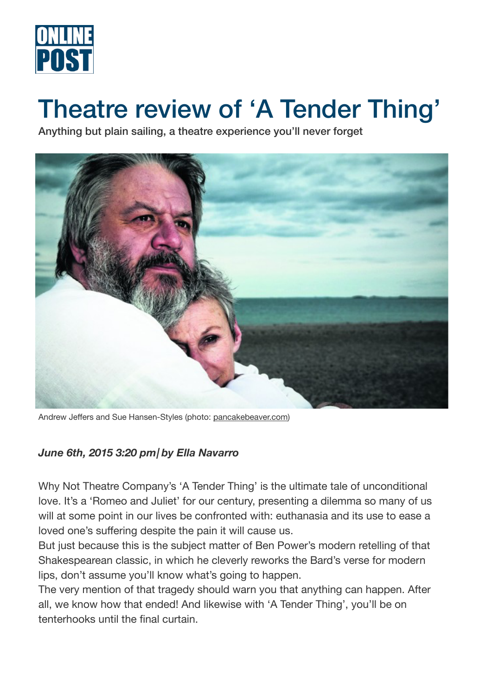

# Theatre review of 'A Tender Thing'

Anything but plain sailing, a theatre experience you'll never forget



Andrew Jeffers and Sue Hansen-Styles (photo: [pancakebeaver.com](http://pancakebeaver.com))

## *June 6th, 2015 3:20 pm| by Ella Navarro*

Why Not Theatre Company's 'A Tender Thing' is the ultimate tale of unconditional love. It's a 'Romeo and Juliet' for our century, presenting a dilemma so many of us will at some point in our lives be confronted with: euthanasia and its use to ease a loved one's suffering despite the pain it will cause us.

But just because this is the subject matter of Ben Power's modern retelling of that Shakespearean classic, in which he cleverly reworks the Bard's verse for modern lips, don't assume you'll know what's going to happen.

The very mention of that tragedy should warn you that anything can happen. After all, we know how that ended! And likewise with 'A Tender Thing', you'll be on tenterhooks until the final curtain.